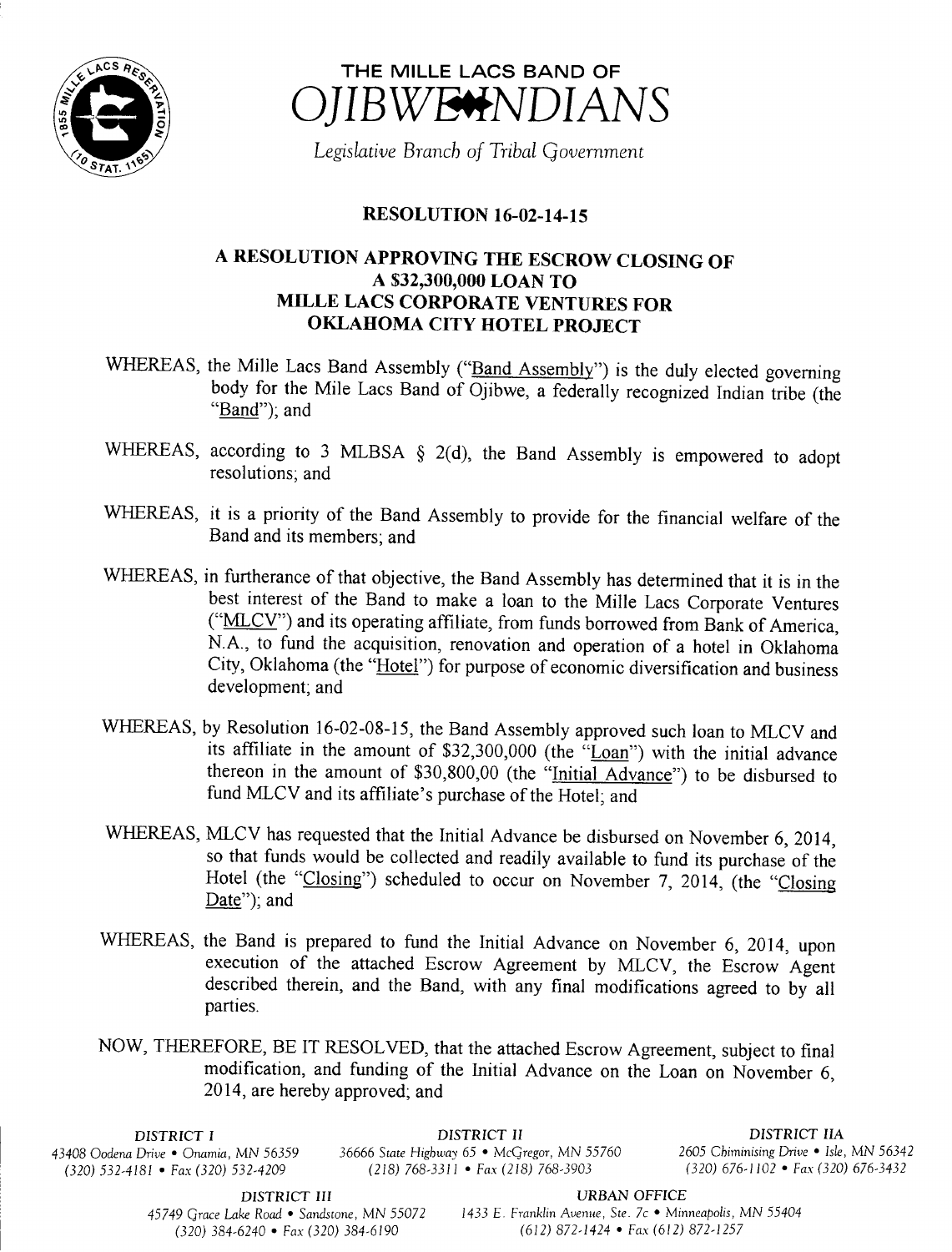



Legislative Branch of Tribal Government

## **RESOLUTION 16-02-14-15**

## A RESOLUTION APPROVING THE ESCROW CLOSING OF A \$32,300,000 LOAN TO MILLE LACS CORPORATE VENTURES FOR OKLAHOMA CITY HOTEL PROJECT

- WHEREAS, the Mille Lacs Band Assembly ("Band Assembly") is the duly elected governing body for the Mile Lacs Band of Ojibwe, a federally recognized Indian tribe (the Band"); and
- WHEREAS, according to 3 MLBSA  $\S$  2(d), the Band Assembly is empowered to adopt resolutions; and
- WHEREAS, it is <sup>a</sup> priority of the Band Assembly to provide for the financial welfare of the Band and its members; and
- WHEREAS, in furtherance of that objective, the Band Assembly has determined that it is in the best interest of the Band to make <sup>a</sup> loan to the Mille Lacs Corporate Ventures ("MLCV") and its operating affiliate, from funds borrowed from Bank of America, N.A., to fund the acquisition, renovation and operation of <sup>a</sup> hotel in Oklahoma City, Oklahoma (the "Hotel") for purpose of economic diversification and business development; and
- WHEREAS, by Resolution 16-02-08-15, the Band Assembly approved such loan to MLCV and its affiliate in the amount of \$32,300,000 (the  $\sqrt{\frac{20an}{\text{L}}}$ ) with the initial advance thereon in the amount of \$30,800,00 (the "Initial Advance") to be disbursed to fund MLCV and its affiliate's purchase of the Hotel; and
- WHEREAS, MLCV has requested that the Initial Advance be disbursed on November 6, 2014, so that funds would be collected and readily available to fund its purchase of the Hotel (the "Closing") scheduled to occur on November 7, 2014, (the "Closing Date"); and
- WHEREAS, the Band is prepared to fund the Initial Advance on November 6, 2014, upon execution of the attached Escrow Agreement by MLCV, the Escrow Agent described therein, and the Band, with any final modifications agreed to by all parties.
- NOW, THEREFORE, BE IT RESOLVED, that the attached Escrow Agreement, subject to final modification, and funding of the Initial Advance on the Loan on November 6, 2014, are hereby approved; and

 $(320)$  532-4181 • Fax(320) 532-4209

DISTRICT I **DISTRICT II** DISTRICT II DISTRICT II<br>43408 Oodena Drive • Onamia, MN 56359 36666 State Highway 65 • McGregor, MN 55760 2605 Chiminising Drive • Isle, MN 56342 436666 State Highway 65 • McGregor, MN 55760 2605 Chiminising Drive • Isle, MN 56342<br>(218) 768-3311 • Fax (218) 768-3903 (320) 676-1102 • Fax (320) 676-3432

DISTRICT III URBAN OFFICE  $(320)$  384-6240 • Fax (320) 384-6190

45749 Grace Lake Road • Sandstone, MN 55072 1433 E. Franklin Avenue, Ste. 7c • Minneapolis, MN 55404<br>(320) 384-6190 (612) 872-1424 • Fax (612) 872-1257